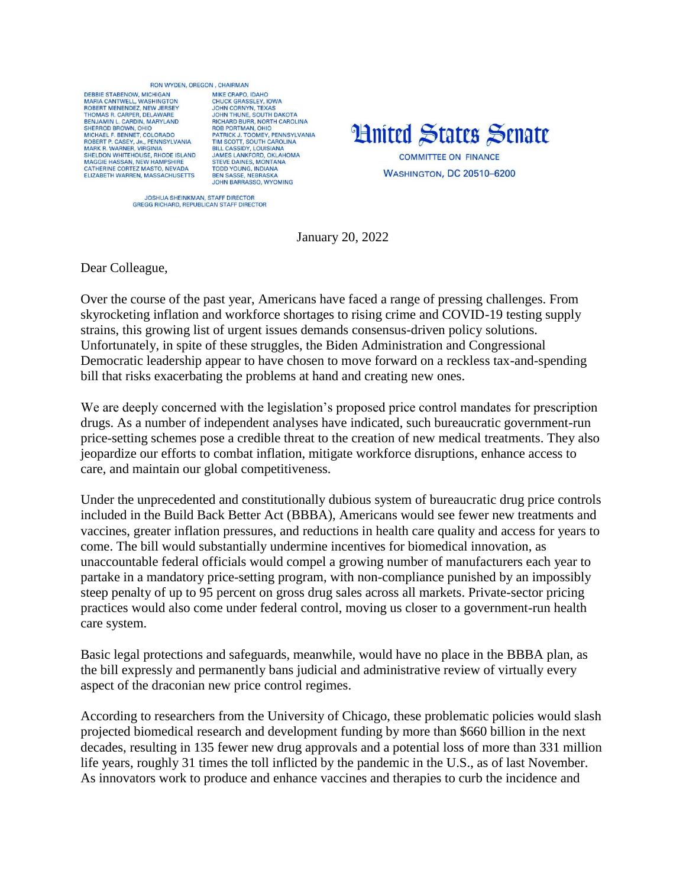## BON WYDEN OREGON CHAIRMAN

DERRIE STARENOW MICHIGAN MARIA CANTWELL, WASHINGTON<br>ROBERT MENENDEZ, NEW JERSEY THOMAS R. CARPER, DELAWARE BENJAMIN L. CARDIN, MARYLAND<br>SHERROD BROWN, OHIO MICHAEL E BENNET, COLOBADO ROBERT P. CASEY, JR., PENNSYLVANIA<br>MARK R. WARNER, VIRGINIA SHELDON WHITEHOUSE, RHODE ISLAND MAGGIE HASSAN, NEW HAMPSHIRE<br>CATHERINE CORTEZ MASTO, NEVADA<br>ELIZABETH WARREN, MASSACHUSETTS

MIKE CRAPO IDAHO CHUCK GRASSLEY, IOWA<br>JOHN CORNYN, TEXAS JOHN CORNYN, TEXAS<br>JOHN THUNE, SOUTH DAKOTA<br>RICHARD BURR, NORTH CAROLINA<br>ROB PORTMANI, OHIO<br>PATRICK J. TOOMEY, PENNSYLVANIA<br>TIM SCOTT, SOUTH CAROLINA<br>JAMES LANKFORD, OKLAHOMA<br>STEVIE DAINIES MONTANA<br>STEVIE DAINIES MONTANA STRIVE DAINES, MONTANA<br>TODD YOUNG, INDIANA<br>BEN SASSE, NEBRASKA **JOHN BARRASSO, WYOMING** 



JOSHUA SHEINKMAN, STAFF DIRECTOR<br>GREGG RICHARD, REPUBLICAN STAFF DIRECTOR

January 20, 2022

Dear Colleague,

Over the course of the past year, Americans have faced a range of pressing challenges. From skyrocketing inflation and workforce shortages to rising crime and COVID-19 testing supply strains, this growing list of urgent issues demands consensus-driven policy solutions. Unfortunately, in spite of these struggles, the Biden Administration and Congressional Democratic leadership appear to have chosen to move forward on a reckless tax-and-spending bill that risks exacerbating the problems at hand and creating new ones.

We are deeply concerned with the legislation's proposed price control mandates for prescription drugs. As a number of independent analyses have indicated, such bureaucratic government-run price-setting schemes pose a credible threat to the creation of new medical treatments. They also jeopardize our efforts to combat inflation, mitigate workforce disruptions, enhance access to care, and maintain our global competitiveness.

Under the unprecedented and constitutionally dubious system of bureaucratic drug price controls included in the Build Back Better Act (BBBA), Americans would see fewer new treatments and vaccines, greater inflation pressures, and reductions in health care quality and access for years to come. The bill would substantially undermine incentives for biomedical innovation, as unaccountable federal officials would compel a growing number of manufacturers each year to partake in a mandatory price-setting program, with non-compliance punished by an impossibly steep penalty of up to 95 percent on gross drug sales across all markets. Private-sector pricing practices would also come under federal control, moving us closer to a government-run health care system.

Basic legal protections and safeguards, meanwhile, would have no place in the BBBA plan, as the bill expressly and permanently bans judicial and administrative review of virtually every aspect of the draconian new price control regimes.

According to researchers from the University of Chicago, these problematic policies would slash projected biomedical research and development funding by more than \$660 billion in the next decades, resulting in 135 fewer new drug approvals and a potential loss of more than 331 million life years, roughly 31 times the toll inflicted by the pandemic in the U.S., as of last November. As innovators work to produce and enhance vaccines and therapies to curb the incidence and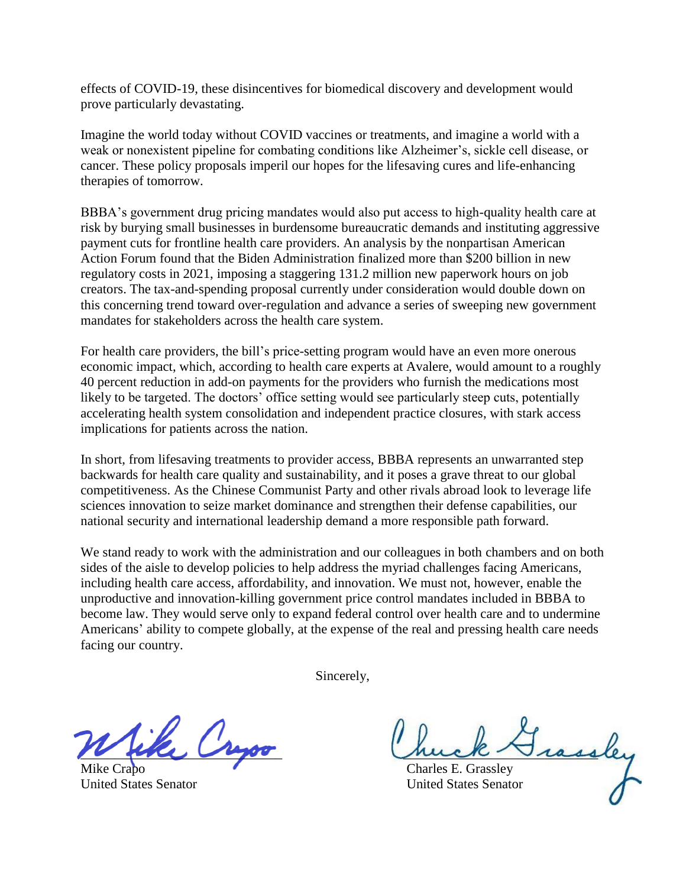effects of COVID-19, these disincentives for biomedical discovery and development would prove particularly devastating.

Imagine the world today without COVID vaccines or treatments, and imagine a world with a weak or nonexistent pipeline for combating conditions like Alzheimer's, sickle cell disease, or cancer. These policy proposals imperil our hopes for the lifesaving cures and life-enhancing therapies of tomorrow.

BBBA's government drug pricing mandates would also put access to high-quality health care at risk by burying small businesses in burdensome bureaucratic demands and instituting aggressive payment cuts for frontline health care providers. An analysis by the nonpartisan American Action Forum found that the Biden Administration finalized more than \$200 billion in new regulatory costs in 2021, imposing a staggering 131.2 million new paperwork hours on job creators. The tax-and-spending proposal currently under consideration would double down on this concerning trend toward over-regulation and advance a series of sweeping new government mandates for stakeholders across the health care system.

For health care providers, the bill's price-setting program would have an even more onerous economic impact, which, according to health care experts at Avalere, would amount to a roughly 40 percent reduction in add-on payments for the providers who furnish the medications most likely to be targeted. The doctors' office setting would see particularly steep cuts, potentially accelerating health system consolidation and independent practice closures, with stark access implications for patients across the nation.

In short, from lifesaving treatments to provider access, BBBA represents an unwarranted step backwards for health care quality and sustainability, and it poses a grave threat to our global competitiveness. As the Chinese Communist Party and other rivals abroad look to leverage life sciences innovation to seize market dominance and strengthen their defense capabilities, our national security and international leadership demand a more responsible path forward.

We stand ready to work with the administration and our colleagues in both chambers and on both sides of the aisle to develop policies to help address the myriad challenges facing Americans, including health care access, affordability, and innovation. We must not, however, enable the unproductive and innovation-killing government price control mandates included in BBBA to become law. They would serve only to expand federal control over health care and to undermine Americans' ability to compete globally, at the expense of the real and pressing health care needs facing our country.

Sincerely,

\_\_\_\_\_\_\_\_\_\_\_\_\_\_\_\_\_\_\_\_\_\_\_\_\_\_\_\_\_\_ \_\_\_\_\_\_\_\_\_\_\_\_\_\_\_\_\_\_\_\_\_\_\_\_\_\_\_\_\_

Charles E. Grassley United States Senator United States Senator